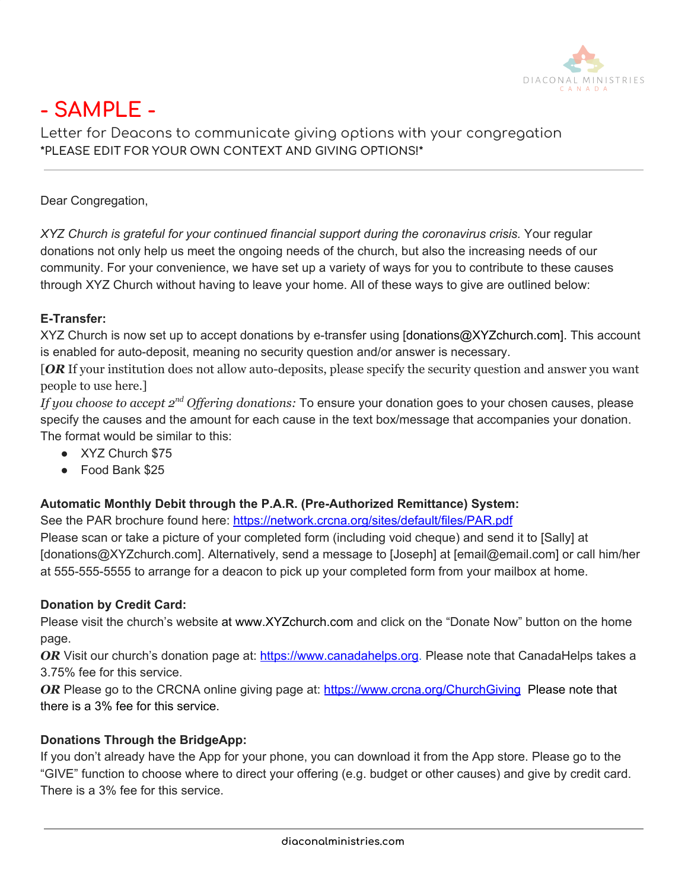

# **- SAMPLE -**

Letter for Deacons to communicate giving options with your congregation **\*PLEASE EDIT FOR YOUR OWN CONTEXT AND GIVING OPTIONS!\***

Dear Congregation,

*XYZ Church is grateful for your continued financial support during the coronavirus crisis.* Your regular donations not only help us meet the ongoing needs of the church, but also the increasing needs of our community. For your convenience, we have set up a variety of ways for you to contribute to these causes through XYZ Church without having to leave your home. All of these ways to give are outlined below:

## **E-Transfer:**

XYZ Church is now set up to accept donations by e-transfer using [donations@XYZchurch.com]. This account is enabled for auto-deposit, meaning no security question and/or answer is necessary.

[*OR* If your institution does not allow auto-deposits, please specify the security question and answer you want people to use here.]

If you *choose to accept*  $2^{nd}$  *Offering donations:* To ensure your donation goes to your chosen causes, please specify the causes and the amount for each cause in the text box/message that accompanies your donation. The format would be similar to this:

- XYZ Church \$75
- Food Bank \$25

### **Automatic Monthly Debit through the P.A.R. (Pre-Authorized Remittance) System:**

See the PAR brochure found here: [https://network.crcna.org/sites/default/files/PAR.pdf](https://network.crcna.org/sites/default/files/documents/2015%20PAR%20Brochure_0.pdf)

Please scan or take a picture of your completed form (including void cheque) and send it to [Sally] at [donations@XYZchurch.com]. Alternatively, send a message to [Joseph] at [email@email.com] or call him/her at 555-555-5555 to arrange for a deacon to pick up your completed form from your mailbox at home.

### **Donation by Credit Card:**

Please visit the church's website at www.XYZchurch.com and click on the "Donate Now" button on the home page.

*OR* Visit our church's donation page at: [https://www.canadahelps.org.](https://www.canadahelps.org/) Please note that CanadaHelps takes a 3.75% fee for this service.

*OR* Please go to the CRCNA online giving page at: <https://www.crcna.org/ChurchGiving> Please note that there is a 3% fee for this service.

## **Donations Through the BridgeApp:**

If you don't already have the App for your phone, you can download it from the App store. Please go to the "GIVE" function to choose where to direct your offering (e.g. budget or other causes) and give by credit card. There is a 3% fee for this service.